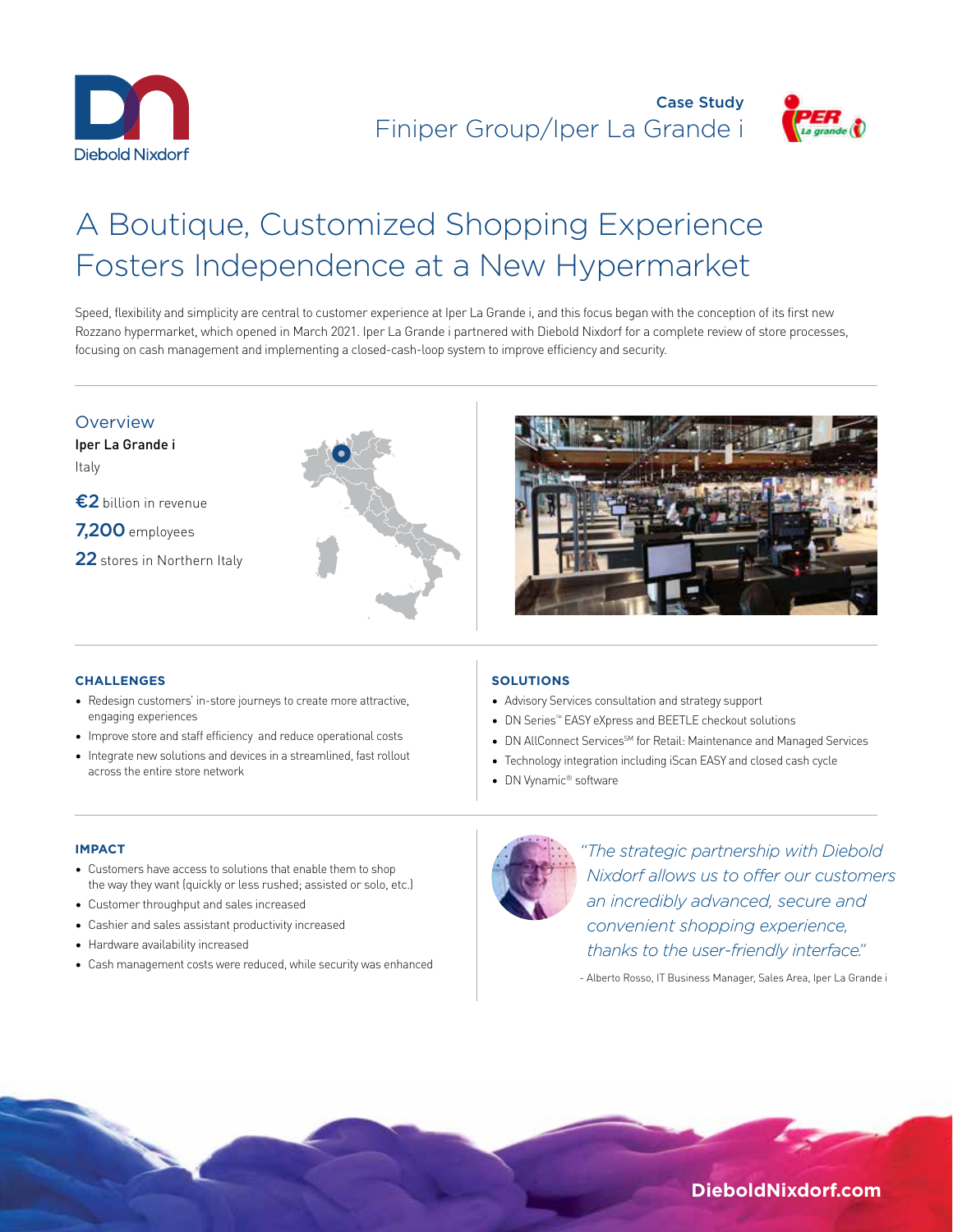



# A Boutique, Customized Shopping Experience Fosters Independence at a New Hypermarket

Speed, flexibility and simplicity are central to customer experience at Iper La Grande i, and this focus began with the conception of its first new Rozzano hypermarket, which opened in March 2021. Iper La Grande i partnered with Diebold Nixdorf for a complete review of store processes, focusing on cash management and implementing a closed-cash-loop system to improve efficiency and security.

## Overview

Iper La Grande i Italy

- €2 billion in revenue
- 7,200 employees
- 22 stores in Northern Italy





## **CHALLENGES**

- Redesign customers' in-store journeys to create more attractive, engaging experiences
- Improve store and staff efficiency and reduce operational costs
- Integrate new solutions and devices in a streamlined, fast rollout across the entire store network

## **SOLUTIONS**

- Advisory Services consultation and strategy support
- DN Series™ EASY eXpress and BEETLE checkout solutions
- DN AllConnect Services<sup>SM</sup> for Retail: Maintenance and Managed Services
- Technology integration including iScan EASY and closed cash cycle
- DN Vynamic® software

#### **IMPACT**

- Customers have access to solutions that enable them to shop the way they want (quickly or less rushed; assisted or solo, etc.)
- Customer throughput and sales increased
- Cashier and sales assistant productivity increased
- Hardware availability increased
- Cash management costs were reduced, while security was enhanced



*"The strategic partnership with Diebold Nixdorf allows us to offer our customers an incredibly advanced, secure and convenient shopping experience, thanks to the user-friendly interface."* 

- Alberto Rosso, IT Business Manager, Sales Area, Iper La Grande i